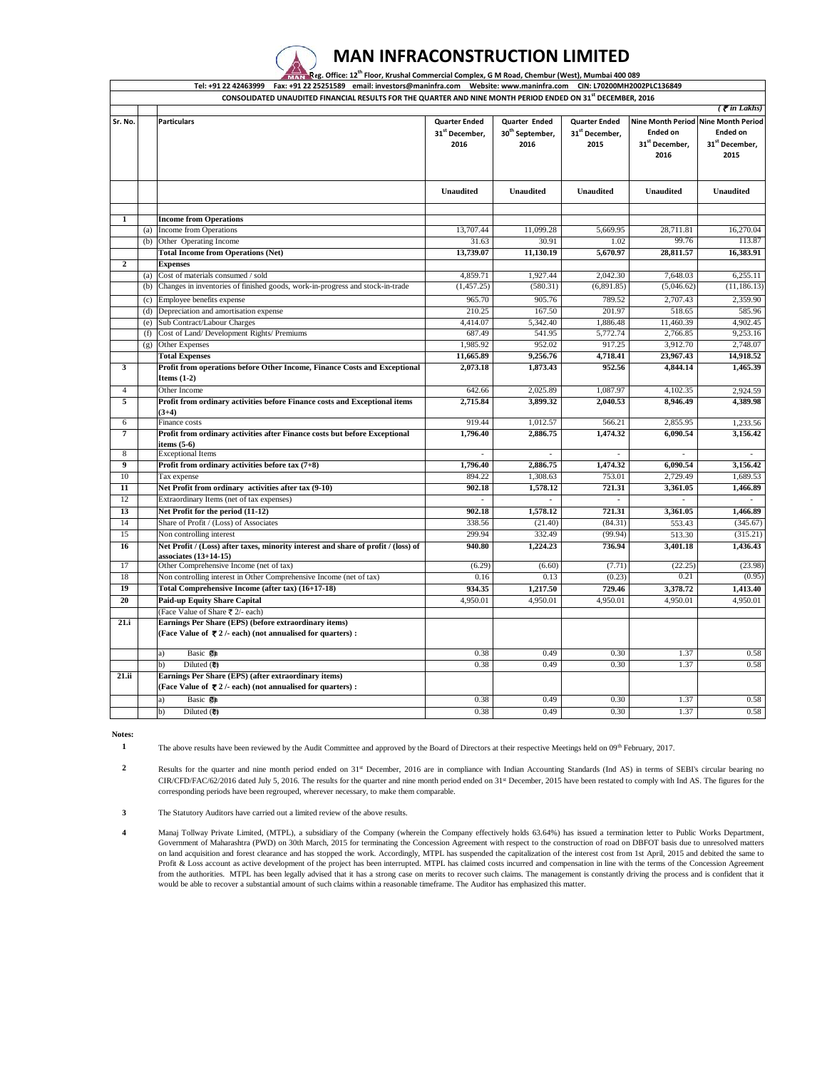## **MAN INFRACONSTRUCTION LIMITED**

| Fax: +91 22 25251589 email: investors@maninfra.com Website: www.maninfra.com CIN: L70200MH2002PLC136849<br>Tel: +91 22 42463999<br>CONSOLIDATED UNAUDITED FINANCIAL RESULTS FOR THE QUARTER AND NINE MONTH PERIOD ENDED ON 31 <sup>st</sup> DECEMBER, 2016<br>Quarter Ended<br><b>Quarter Ended</b><br>Sr. No.<br><b>Particulars</b><br><b>Quarter Ended</b><br><b>Ended on</b><br>31 <sup>st</sup> December,<br>30 <sup>th</sup> September,<br>31 <sup>st</sup> December,<br>2015<br>31 <sup>st</sup> December,<br>2016<br>2016<br>2016<br><b>Unaudited</b><br><b>Unaudited</b><br><b>Unaudited</b><br><b>Unaudited</b><br><b>Income from Operations</b><br>1<br>28,711.81<br><b>Income from Operations</b><br>13,707.44<br>11.099.28<br>5,669.95<br>(a)<br>31.63<br>30.91<br>99.76<br>(b)<br>Other Operating Income<br>1.02<br><b>Total Income from Operations (Net)</b><br>13,739.07<br>11,130.19<br>5,670.97<br>28,811.57<br>$\overline{2}$<br><b>Expenses</b><br>Cost of materials consumed / sold<br>4,859.71<br>1,927.44<br>2,042.30<br>7,648.03<br>(a)<br>(1,457.25)<br>(580.31)<br>(6,891.85)<br>(5,046.62)<br>(b)<br>Changes in inventories of finished goods, work-in-progress and stock-in-trade<br>965.70<br>905.76<br>789.52<br>2,707.43<br>Employee benefits expense<br>(c)<br>210.25<br>167.50<br>201.97<br>518.65<br>(d)<br>Depreciation and amortisation expense<br>11,460.39<br>4,414.07<br>5,342.40<br>1,886.48<br>Sub Contract/Labour Charges<br>(e)<br>Cost of Land/ Development Rights/ Premiums<br>687.49<br>541.95<br>5,772.74<br>2,766.85<br>(f)<br>952.02<br>1,985.92<br>917.25<br>3,912.70<br>(g)<br>Other Expenses<br><b>Total Expenses</b><br>11,665.89<br>9,256.76<br>4,718.41<br>23,967.43<br>$\overline{\mathbf{3}}$<br>2,073.18<br>1,873.43<br>952.56<br>4,844.14<br>Profit from operations before Other Income, Finance Costs and Exceptional<br>Items $(1-2)$<br>Other Income<br>2,025.89<br>642.66<br>1,087.97<br>4,102.35<br>$\overline{4}$<br>5<br>2.040.53<br>Profit from ordinary activities before Finance costs and Exceptional items<br>2,715.84<br>3,899.32<br>8,946.49<br>$(3+4)$ | $($ $\overline{\xi}$ in Lakhs)<br><b>Ended on</b> |                                     |  |  |
|---------------------------------------------------------------------------------------------------------------------------------------------------------------------------------------------------------------------------------------------------------------------------------------------------------------------------------------------------------------------------------------------------------------------------------------------------------------------------------------------------------------------------------------------------------------------------------------------------------------------------------------------------------------------------------------------------------------------------------------------------------------------------------------------------------------------------------------------------------------------------------------------------------------------------------------------------------------------------------------------------------------------------------------------------------------------------------------------------------------------------------------------------------------------------------------------------------------------------------------------------------------------------------------------------------------------------------------------------------------------------------------------------------------------------------------------------------------------------------------------------------------------------------------------------------------------------------------------------------------------------------------------------------------------------------------------------------------------------------------------------------------------------------------------------------------------------------------------------------------------------------------------------------------------------------------------------------------------------------------------------------------------------------------------------------------------------------------------------------------------------------|---------------------------------------------------|-------------------------------------|--|--|
|                                                                                                                                                                                                                                                                                                                                                                                                                                                                                                                                                                                                                                                                                                                                                                                                                                                                                                                                                                                                                                                                                                                                                                                                                                                                                                                                                                                                                                                                                                                                                                                                                                                                                                                                                                                                                                                                                                                                                                                                                                                                                                                                 |                                                   |                                     |  |  |
|                                                                                                                                                                                                                                                                                                                                                                                                                                                                                                                                                                                                                                                                                                                                                                                                                                                                                                                                                                                                                                                                                                                                                                                                                                                                                                                                                                                                                                                                                                                                                                                                                                                                                                                                                                                                                                                                                                                                                                                                                                                                                                                                 |                                                   |                                     |  |  |
|                                                                                                                                                                                                                                                                                                                                                                                                                                                                                                                                                                                                                                                                                                                                                                                                                                                                                                                                                                                                                                                                                                                                                                                                                                                                                                                                                                                                                                                                                                                                                                                                                                                                                                                                                                                                                                                                                                                                                                                                                                                                                                                                 | 31 <sup>st</sup> December,<br>2015                | Nine Month Period Nine Month Period |  |  |
|                                                                                                                                                                                                                                                                                                                                                                                                                                                                                                                                                                                                                                                                                                                                                                                                                                                                                                                                                                                                                                                                                                                                                                                                                                                                                                                                                                                                                                                                                                                                                                                                                                                                                                                                                                                                                                                                                                                                                                                                                                                                                                                                 | <b>Unaudited</b>                                  |                                     |  |  |
|                                                                                                                                                                                                                                                                                                                                                                                                                                                                                                                                                                                                                                                                                                                                                                                                                                                                                                                                                                                                                                                                                                                                                                                                                                                                                                                                                                                                                                                                                                                                                                                                                                                                                                                                                                                                                                                                                                                                                                                                                                                                                                                                 |                                                   |                                     |  |  |
|                                                                                                                                                                                                                                                                                                                                                                                                                                                                                                                                                                                                                                                                                                                                                                                                                                                                                                                                                                                                                                                                                                                                                                                                                                                                                                                                                                                                                                                                                                                                                                                                                                                                                                                                                                                                                                                                                                                                                                                                                                                                                                                                 | 16,270.04                                         |                                     |  |  |
|                                                                                                                                                                                                                                                                                                                                                                                                                                                                                                                                                                                                                                                                                                                                                                                                                                                                                                                                                                                                                                                                                                                                                                                                                                                                                                                                                                                                                                                                                                                                                                                                                                                                                                                                                                                                                                                                                                                                                                                                                                                                                                                                 | 113.87                                            |                                     |  |  |
|                                                                                                                                                                                                                                                                                                                                                                                                                                                                                                                                                                                                                                                                                                                                                                                                                                                                                                                                                                                                                                                                                                                                                                                                                                                                                                                                                                                                                                                                                                                                                                                                                                                                                                                                                                                                                                                                                                                                                                                                                                                                                                                                 | 16,383.91                                         |                                     |  |  |
|                                                                                                                                                                                                                                                                                                                                                                                                                                                                                                                                                                                                                                                                                                                                                                                                                                                                                                                                                                                                                                                                                                                                                                                                                                                                                                                                                                                                                                                                                                                                                                                                                                                                                                                                                                                                                                                                                                                                                                                                                                                                                                                                 |                                                   |                                     |  |  |
|                                                                                                                                                                                                                                                                                                                                                                                                                                                                                                                                                                                                                                                                                                                                                                                                                                                                                                                                                                                                                                                                                                                                                                                                                                                                                                                                                                                                                                                                                                                                                                                                                                                                                                                                                                                                                                                                                                                                                                                                                                                                                                                                 | 6,255.11                                          |                                     |  |  |
|                                                                                                                                                                                                                                                                                                                                                                                                                                                                                                                                                                                                                                                                                                                                                                                                                                                                                                                                                                                                                                                                                                                                                                                                                                                                                                                                                                                                                                                                                                                                                                                                                                                                                                                                                                                                                                                                                                                                                                                                                                                                                                                                 | (11, 186.13)                                      |                                     |  |  |
|                                                                                                                                                                                                                                                                                                                                                                                                                                                                                                                                                                                                                                                                                                                                                                                                                                                                                                                                                                                                                                                                                                                                                                                                                                                                                                                                                                                                                                                                                                                                                                                                                                                                                                                                                                                                                                                                                                                                                                                                                                                                                                                                 | 2,359.90                                          |                                     |  |  |
|                                                                                                                                                                                                                                                                                                                                                                                                                                                                                                                                                                                                                                                                                                                                                                                                                                                                                                                                                                                                                                                                                                                                                                                                                                                                                                                                                                                                                                                                                                                                                                                                                                                                                                                                                                                                                                                                                                                                                                                                                                                                                                                                 |                                                   |                                     |  |  |
|                                                                                                                                                                                                                                                                                                                                                                                                                                                                                                                                                                                                                                                                                                                                                                                                                                                                                                                                                                                                                                                                                                                                                                                                                                                                                                                                                                                                                                                                                                                                                                                                                                                                                                                                                                                                                                                                                                                                                                                                                                                                                                                                 | 585.96                                            |                                     |  |  |
|                                                                                                                                                                                                                                                                                                                                                                                                                                                                                                                                                                                                                                                                                                                                                                                                                                                                                                                                                                                                                                                                                                                                                                                                                                                                                                                                                                                                                                                                                                                                                                                                                                                                                                                                                                                                                                                                                                                                                                                                                                                                                                                                 | 4,902.45                                          |                                     |  |  |
|                                                                                                                                                                                                                                                                                                                                                                                                                                                                                                                                                                                                                                                                                                                                                                                                                                                                                                                                                                                                                                                                                                                                                                                                                                                                                                                                                                                                                                                                                                                                                                                                                                                                                                                                                                                                                                                                                                                                                                                                                                                                                                                                 | 9,253.16                                          |                                     |  |  |
|                                                                                                                                                                                                                                                                                                                                                                                                                                                                                                                                                                                                                                                                                                                                                                                                                                                                                                                                                                                                                                                                                                                                                                                                                                                                                                                                                                                                                                                                                                                                                                                                                                                                                                                                                                                                                                                                                                                                                                                                                                                                                                                                 | 2,748.07                                          |                                     |  |  |
|                                                                                                                                                                                                                                                                                                                                                                                                                                                                                                                                                                                                                                                                                                                                                                                                                                                                                                                                                                                                                                                                                                                                                                                                                                                                                                                                                                                                                                                                                                                                                                                                                                                                                                                                                                                                                                                                                                                                                                                                                                                                                                                                 | 14,918.52                                         |                                     |  |  |
|                                                                                                                                                                                                                                                                                                                                                                                                                                                                                                                                                                                                                                                                                                                                                                                                                                                                                                                                                                                                                                                                                                                                                                                                                                                                                                                                                                                                                                                                                                                                                                                                                                                                                                                                                                                                                                                                                                                                                                                                                                                                                                                                 | 1,465.39                                          |                                     |  |  |
|                                                                                                                                                                                                                                                                                                                                                                                                                                                                                                                                                                                                                                                                                                                                                                                                                                                                                                                                                                                                                                                                                                                                                                                                                                                                                                                                                                                                                                                                                                                                                                                                                                                                                                                                                                                                                                                                                                                                                                                                                                                                                                                                 | 2.924.59                                          |                                     |  |  |
|                                                                                                                                                                                                                                                                                                                                                                                                                                                                                                                                                                                                                                                                                                                                                                                                                                                                                                                                                                                                                                                                                                                                                                                                                                                                                                                                                                                                                                                                                                                                                                                                                                                                                                                                                                                                                                                                                                                                                                                                                                                                                                                                 | 4,389.98                                          |                                     |  |  |
| 919.44<br>1,012.57<br>566.21<br>2,855.95<br>6<br>Finance costs                                                                                                                                                                                                                                                                                                                                                                                                                                                                                                                                                                                                                                                                                                                                                                                                                                                                                                                                                                                                                                                                                                                                                                                                                                                                                                                                                                                                                                                                                                                                                                                                                                                                                                                                                                                                                                                                                                                                                                                                                                                                  | 1,233.56                                          |                                     |  |  |
| 7<br>Profit from ordinary activities after Finance costs but before Exceptional<br>1.796.40<br>2,886.75<br>1.474.32<br>6.090.54<br>items (5-6)                                                                                                                                                                                                                                                                                                                                                                                                                                                                                                                                                                                                                                                                                                                                                                                                                                                                                                                                                                                                                                                                                                                                                                                                                                                                                                                                                                                                                                                                                                                                                                                                                                                                                                                                                                                                                                                                                                                                                                                  | 3,156.42                                          |                                     |  |  |
| 8<br><b>Exceptional Items</b>                                                                                                                                                                                                                                                                                                                                                                                                                                                                                                                                                                                                                                                                                                                                                                                                                                                                                                                                                                                                                                                                                                                                                                                                                                                                                                                                                                                                                                                                                                                                                                                                                                                                                                                                                                                                                                                                                                                                                                                                                                                                                                   |                                                   |                                     |  |  |
| 9<br>Profit from ordinary activities before tax $(7+8)$<br>1,796.40<br>2,886.75<br>1,474.32<br>6,090.54                                                                                                                                                                                                                                                                                                                                                                                                                                                                                                                                                                                                                                                                                                                                                                                                                                                                                                                                                                                                                                                                                                                                                                                                                                                                                                                                                                                                                                                                                                                                                                                                                                                                                                                                                                                                                                                                                                                                                                                                                         | 3,156.42                                          |                                     |  |  |
| 1,308.63<br>753.01<br>10<br>894.22<br>2,729.49<br>Tax expense                                                                                                                                                                                                                                                                                                                                                                                                                                                                                                                                                                                                                                                                                                                                                                                                                                                                                                                                                                                                                                                                                                                                                                                                                                                                                                                                                                                                                                                                                                                                                                                                                                                                                                                                                                                                                                                                                                                                                                                                                                                                   | 1,689.53                                          |                                     |  |  |
| 721.31<br>$\overline{11}$<br>Net Profit from ordinary activities after tax (9-10)<br>902.18<br>1,578.12<br>3,361.05                                                                                                                                                                                                                                                                                                                                                                                                                                                                                                                                                                                                                                                                                                                                                                                                                                                                                                                                                                                                                                                                                                                                                                                                                                                                                                                                                                                                                                                                                                                                                                                                                                                                                                                                                                                                                                                                                                                                                                                                             | 1,466.89                                          |                                     |  |  |
| 12<br>Extraordinary Items (net of tax expenses)<br>$\sim$<br>$\overline{\phantom{a}}$<br>$\sim$<br>$\sim$                                                                                                                                                                                                                                                                                                                                                                                                                                                                                                                                                                                                                                                                                                                                                                                                                                                                                                                                                                                                                                                                                                                                                                                                                                                                                                                                                                                                                                                                                                                                                                                                                                                                                                                                                                                                                                                                                                                                                                                                                       | $\sim$                                            |                                     |  |  |
| $\overline{13}$<br>Net Profit for the period (11-12)<br>1.578.12<br>721.31<br>902.18<br>3.361.05                                                                                                                                                                                                                                                                                                                                                                                                                                                                                                                                                                                                                                                                                                                                                                                                                                                                                                                                                                                                                                                                                                                                                                                                                                                                                                                                                                                                                                                                                                                                                                                                                                                                                                                                                                                                                                                                                                                                                                                                                                | 1.466.89                                          |                                     |  |  |
| 14<br>Share of Profit / (Loss) of Associates<br>338.56<br>(21.40)<br>(84.31)<br>553.43                                                                                                                                                                                                                                                                                                                                                                                                                                                                                                                                                                                                                                                                                                                                                                                                                                                                                                                                                                                                                                                                                                                                                                                                                                                                                                                                                                                                                                                                                                                                                                                                                                                                                                                                                                                                                                                                                                                                                                                                                                          | (345.67)                                          |                                     |  |  |
| 15<br>299.94<br>332.49<br>(99.94)<br>Non controlling interest<br>513.30                                                                                                                                                                                                                                                                                                                                                                                                                                                                                                                                                                                                                                                                                                                                                                                                                                                                                                                                                                                                                                                                                                                                                                                                                                                                                                                                                                                                                                                                                                                                                                                                                                                                                                                                                                                                                                                                                                                                                                                                                                                         | (315.21)                                          |                                     |  |  |
| 16<br>Net Profit / (Loss) after taxes, minority interest and share of profit / (loss) of<br>940.80<br>1,224.23<br>736.94<br>3,401.18<br>associates (13+14-15)                                                                                                                                                                                                                                                                                                                                                                                                                                                                                                                                                                                                                                                                                                                                                                                                                                                                                                                                                                                                                                                                                                                                                                                                                                                                                                                                                                                                                                                                                                                                                                                                                                                                                                                                                                                                                                                                                                                                                                   | 1,436.43                                          |                                     |  |  |
| (7.71)<br>(22.25)<br>17<br>Other Comprehensive Income (net of tax)<br>(6.29)<br>(6.60)                                                                                                                                                                                                                                                                                                                                                                                                                                                                                                                                                                                                                                                                                                                                                                                                                                                                                                                                                                                                                                                                                                                                                                                                                                                                                                                                                                                                                                                                                                                                                                                                                                                                                                                                                                                                                                                                                                                                                                                                                                          | (23.98)                                           |                                     |  |  |
| 0.21<br>18<br>Non controlling interest in Other Comprehensive Income (net of tax)<br>0.16<br>0.13<br>(0.23)                                                                                                                                                                                                                                                                                                                                                                                                                                                                                                                                                                                                                                                                                                                                                                                                                                                                                                                                                                                                                                                                                                                                                                                                                                                                                                                                                                                                                                                                                                                                                                                                                                                                                                                                                                                                                                                                                                                                                                                                                     | (0.95)                                            |                                     |  |  |
| 19<br>Total Comprehensive Income (after tax) (16+17-18)<br>934.35<br>1,217.50<br>729.46<br>3,378.72                                                                                                                                                                                                                                                                                                                                                                                                                                                                                                                                                                                                                                                                                                                                                                                                                                                                                                                                                                                                                                                                                                                                                                                                                                                                                                                                                                                                                                                                                                                                                                                                                                                                                                                                                                                                                                                                                                                                                                                                                             | 1,413.40                                          |                                     |  |  |
| 20<br>Paid-up Equity Share Capital<br>4,950.01<br>4,950.01<br>4,950.01<br>4,950.01                                                                                                                                                                                                                                                                                                                                                                                                                                                                                                                                                                                                                                                                                                                                                                                                                                                                                                                                                                                                                                                                                                                                                                                                                                                                                                                                                                                                                                                                                                                                                                                                                                                                                                                                                                                                                                                                                                                                                                                                                                              | 4,950.01                                          |                                     |  |  |
| (Face Value of Share ₹ 2/- each)                                                                                                                                                                                                                                                                                                                                                                                                                                                                                                                                                                                                                                                                                                                                                                                                                                                                                                                                                                                                                                                                                                                                                                                                                                                                                                                                                                                                                                                                                                                                                                                                                                                                                                                                                                                                                                                                                                                                                                                                                                                                                                |                                                   |                                     |  |  |
| 21.i<br>Earnings Per Share (EPS) (before extraordinary items)<br>Face Value of $\overline{\mathbf{z}}$ 2/- each) (not annualised for quarters):                                                                                                                                                                                                                                                                                                                                                                                                                                                                                                                                                                                                                                                                                                                                                                                                                                                                                                                                                                                                                                                                                                                                                                                                                                                                                                                                                                                                                                                                                                                                                                                                                                                                                                                                                                                                                                                                                                                                                                                 |                                                   |                                     |  |  |
| 0.30<br>0.38<br>0.49<br>1.37<br>a)<br>Basic (th                                                                                                                                                                                                                                                                                                                                                                                                                                                                                                                                                                                                                                                                                                                                                                                                                                                                                                                                                                                                                                                                                                                                                                                                                                                                                                                                                                                                                                                                                                                                                                                                                                                                                                                                                                                                                                                                                                                                                                                                                                                                                 | 0.58                                              |                                     |  |  |
| 1.37<br>Diluted $(\overline{\mathbf{\mathfrak{N}}} )$<br>0.38<br>0.49<br>0.30<br>b)                                                                                                                                                                                                                                                                                                                                                                                                                                                                                                                                                                                                                                                                                                                                                                                                                                                                                                                                                                                                                                                                                                                                                                                                                                                                                                                                                                                                                                                                                                                                                                                                                                                                                                                                                                                                                                                                                                                                                                                                                                             | 0.58                                              |                                     |  |  |
| Earnings Per Share (EPS) (after extraordinary items)<br>21.ii<br>(Face Value of $\overline{\mathcal{Z}}$ 2 /- each) (not annualised for quarters):                                                                                                                                                                                                                                                                                                                                                                                                                                                                                                                                                                                                                                                                                                                                                                                                                                                                                                                                                                                                                                                                                                                                                                                                                                                                                                                                                                                                                                                                                                                                                                                                                                                                                                                                                                                                                                                                                                                                                                              |                                                   |                                     |  |  |
| Basic <i>d</i> in<br>0.38<br>0.49<br>0.30<br>1.37<br>a)                                                                                                                                                                                                                                                                                                                                                                                                                                                                                                                                                                                                                                                                                                                                                                                                                                                                                                                                                                                                                                                                                                                                                                                                                                                                                                                                                                                                                                                                                                                                                                                                                                                                                                                                                                                                                                                                                                                                                                                                                                                                         |                                                   |                                     |  |  |
| Diluted $(\frac{1}{\sqrt{2}})$<br>0.38<br>0.30<br>1.37<br>b)<br>0.49                                                                                                                                                                                                                                                                                                                                                                                                                                                                                                                                                                                                                                                                                                                                                                                                                                                                                                                                                                                                                                                                                                                                                                                                                                                                                                                                                                                                                                                                                                                                                                                                                                                                                                                                                                                                                                                                                                                                                                                                                                                            | 0.58                                              |                                     |  |  |

**Notes: 1**

The above results have been reviewed by the Audit Committee and approved by the Board of Directors at their respective Meetings held on 09<sup>th</sup> February, 2017.

**2** Results for the quarter and nine month period ended on 31st December, 2016 are in compliance with Indian Accounting Standards (Ind AS) in terms of SEBI's circular bearing no CIR/CFD/FAC/62/2016 dated July 5, 2016. The results for the quarter and nine month period ended on 31<sup>st</sup> December, 2015 have been restated to comply with Ind AS. The figures for the corresponding periods have been regrouped, wherever necessary, to make them comparable.

**3** The Statutory Auditors have carried out a limited review of the above results.

**<sup>4</sup>** Manaj Tollway Private Limited, (MTPL), a subsidiary of the Company (wherein the Company effectively holds 63.64%) has issued a termination letter to Public Works Department, Government of Maharashtra (PWD) on 30th March, 2015 for terminating the Concession Agreement with respect to the construction of road on DBFOT basis due to unresolved matters on land acquisition and forest clearance and has stopped the work. Accordingly, MTPL hassuspended the capitalization of the interest cost from 1st April, 2015 and debited the same to Profit & Loss account as active development of the project has been interrupted. MTPL has claimed costs incurred and compensation in line with the terms of the Concession Agreement<br>from the authorities. MTPL has been legal would be able to recover a substantial amount of such claims within a reasonable timeframe. The Auditor has emphasized this matter.